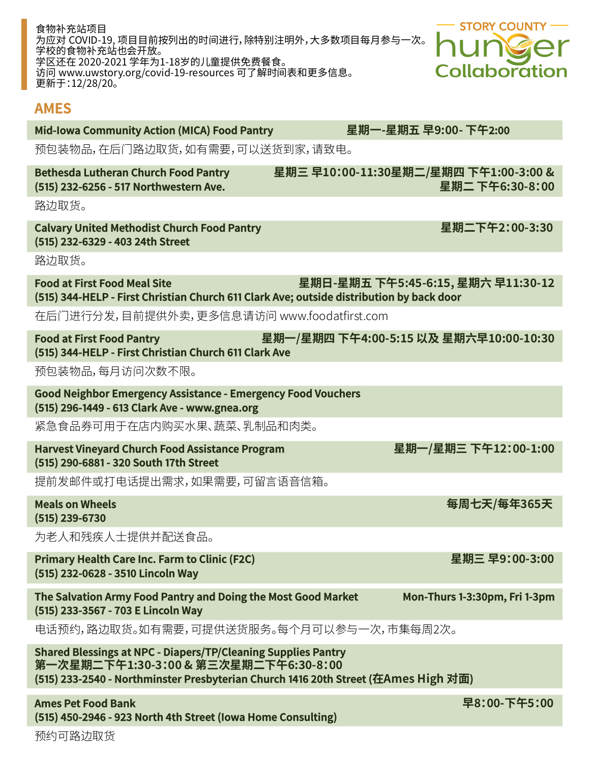| 更新士:12/28/20。                                                                                                                                                                                       |                                                          |
|-----------------------------------------------------------------------------------------------------------------------------------------------------------------------------------------------------|----------------------------------------------------------|
| <b>AMES</b>                                                                                                                                                                                         |                                                          |
| <b>Mid-Iowa Community Action (MICA) Food Pantry</b>                                                                                                                                                 | 星期一-星期五 早9:00- 下午2:00                                    |
| 预包装物品,在后门路边取货,如有需要,可以送货到家,请致电。                                                                                                                                                                      |                                                          |
| <b>Bethesda Lutheran Church Food Pantry</b><br>(515) 232-6256 - 517 Northwestern Ave.                                                                                                               | 星期三 早10:00-11:30星期二/星期四 下午1:00-3:00 &<br>星期二 下午6:30-8:00 |
| 路边取货。                                                                                                                                                                                               |                                                          |
| <b>Calvary United Methodist Church Food Pantry</b><br>(515) 232-6329 - 403 24th Street                                                                                                              | 星期二下午2:00-3:30                                           |
| 路边取货。                                                                                                                                                                                               |                                                          |
| <b>Food at First Food Meal Site</b><br>(515) 344-HELP - First Christian Church 611 Clark Ave; outside distribution by back door                                                                     | 星期日-星期五 下午5:45-6:15, 星期六 早11:30-12                       |
| 在后门进行分发,目前提供外卖,更多信息请访问 www.foodatfirst.com                                                                                                                                                          |                                                          |
| <b>Food at First Food Pantry</b><br>(515) 344-HELP - First Christian Church 611 Clark Ave                                                                                                           | 星期一/星期四 下午4:00-5:15 以及 星期六早10:00-10:30                   |
| 预包装物品,每月访问次数不限。                                                                                                                                                                                     |                                                          |
| <b>Good Neighbor Emergency Assistance - Emergency Food Vouchers</b><br>(515) 296-1449 - 613 Clark Ave - www.gnea.org                                                                                |                                                          |
| 紧急食品券可用于在店内购买水果、蔬菜、乳制品和肉类。                                                                                                                                                                          |                                                          |
| <b>Harvest Vineyard Church Food Assistance Program</b><br>(515) 290-6881 - 320 South 17th Street                                                                                                    | 星期一/星期三 下午12:00-1:00                                     |
| 提前发邮件或打电话提出需求,如果需要,可留言语音信箱。                                                                                                                                                                         |                                                          |
| <b>Meals on Wheels</b><br>(515) 239-6730                                                                                                                                                            | 每周七天/每年365天                                              |
| 为老人和残疾人士提供并配送食品。                                                                                                                                                                                    |                                                          |
| <b>Primary Health Care Inc. Farm to Clinic (F2C)</b><br>(515) 232-0628 - 3510 Lincoln Way                                                                                                           | 星期三 早9:00-3:00                                           |
| The Salvation Army Food Pantry and Doing the Most Good Market<br>(515) 233-3567 - 703 E Lincoln Way                                                                                                 | Mon-Thurs 1-3:30pm, Fri 1-3pm                            |
| 电话预约,路边取货。如有需要,可提供送货服务。每个月可以参与一次,市集每周2次。                                                                                                                                                            |                                                          |
| <b>Shared Blessings at NPC - Diapers/TP/Cleaning Supplies Pantry</b><br>第一次星期二下午1:30-3:00 & 第三次星期二下午6:30-8:00<br>(515) 233-2540 - Northminster Presbyterian Church 1416 20th Street (在Ames High 对面) |                                                          |

为应对 COVID-19, 项目目前按列出的时间进行,除特别注明外,大多数项目每月参与一次。

Ames Pet Food Bank **Petition Ames Pet Food Bank Petition American Petition American Petition American Petition** (515) 450-2946 - 923 North 4th Street (Iowa Home Consulting)

食物补充站项目

字校的食物补充站也会开放。

学区还在 2020-2021 学年为1-18岁的儿童提供免费餐食。

访问 www.uwstory.org/covid-19-resources 可了解时间表和更多信息。

**STORY COUNTY -**

**Collaboration**